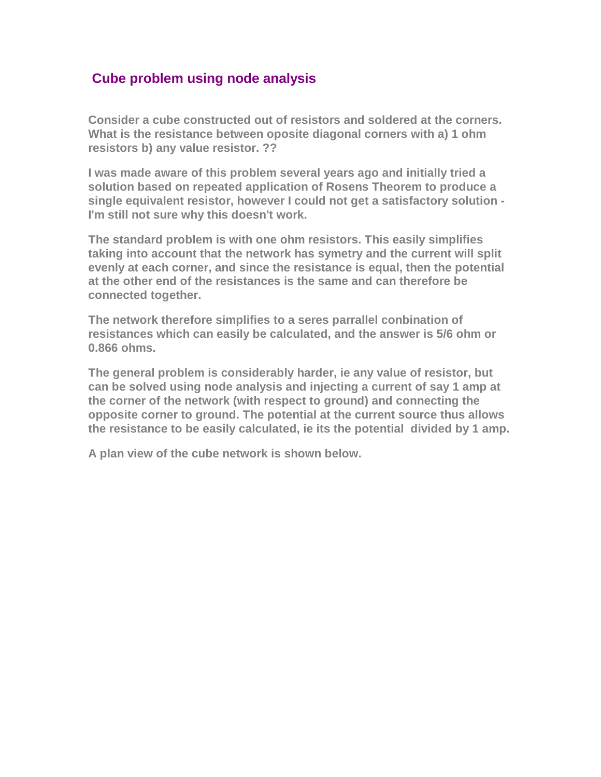## **Cube problem using node analysis**

**Consider a cube constructed out of resistors and soldered at the corners. What is the resistance between oposite diagonal corners with a) 1 ohm resistors b) any value resistor. ??**

**I was made aware of this problem several years ago and initially tried a solution based on repeated application of Rosens Theorem to produce a single equivalent resistor, however I could not get a satisfactory solution - I'm still not sure why this doesn't work.**

**The standard problem is with one ohm resistors. This easily simplifies taking into account that the network has symetry and the current will split evenly at each corner, and since the resistance is equal, then the potential at the other end of the resistances is the same and can therefore be connected together.** 

**The network therefore simplifies to a seres parrallel conbination of resistances which can easily be calculated, and the answer is 5/6 ohm or 0.866 ohms.** 

**The general problem is considerably harder, ie any value of resistor, but can be solved using node analysis and injecting a current of say 1 amp at the corner of the network (with respect to ground) and connecting the opposite corner to ground. The potential at the current source thus allows the resistance to be easily calculated, ie its the potential divided by 1 amp.**

**A plan view of the cube network is shown below.**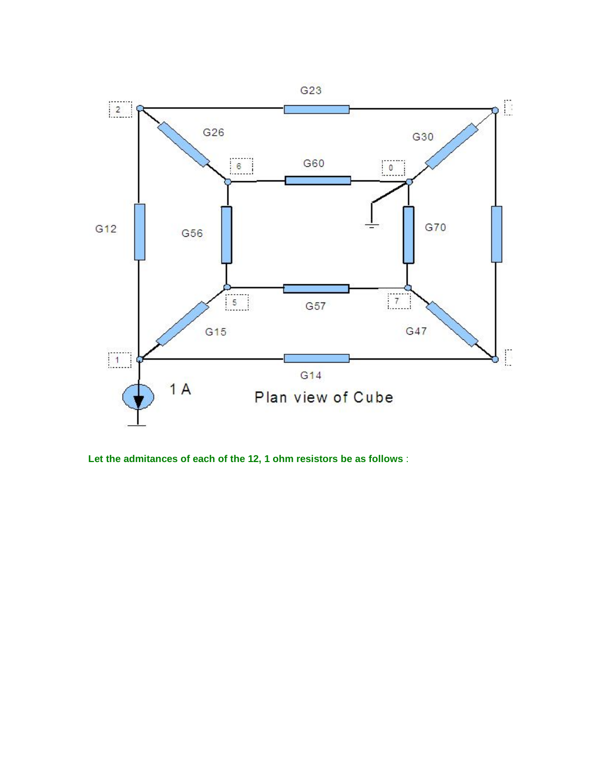

**Let the admitances of each of the 12, 1 ohm resistors be as follows** :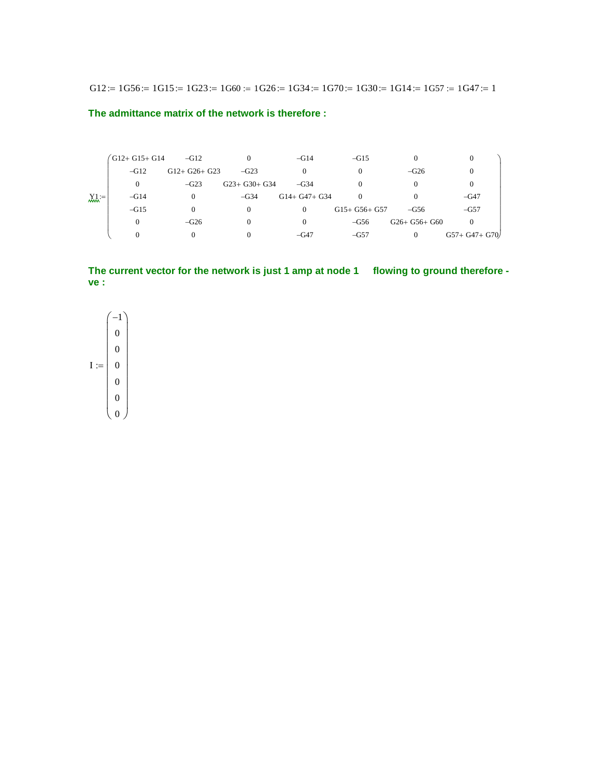G12 :=  $1G56$  :=  $1G15$  :=  $1G23$  :=  $1G60$  :=  $1G26$  :=  $1G34$  :=  $1G70$  :=  $1G30$  :=  $1G14$  :=  $1G57$  :=  $1G47$  := 1

**The admittance matrix of the network is therefore :**

| $X_l =$ | $G12+G15+G14$ | $-\text{G}12$   |                 | $-G14$        | $-\text{G15}$   |                 |                  |
|---------|---------------|-----------------|-----------------|---------------|-----------------|-----------------|------------------|
|         | $-G12$        | $G12+ G26+ G23$ | $-G23$          |               |                 | $-G26$          |                  |
|         | 0             | $-G23$          | $G23+ G30+ G34$ | $-\text{G}34$ |                 |                 |                  |
|         | $-G14$        | $\Omega$        | $-G34$          | $G14+G47+G34$ |                 |                 | $-G47$           |
|         | $-G15$        |                 |                 | $\Omega$      | $G15+ G56+ G57$ | $-G56$          | $-G57$           |
|         | 0             | $-G26$          |                 | $\Omega$      | $-\text{G}56$   | $G26+ G56+ G60$ |                  |
|         |               |                 |                 | $-\text{G}47$ | $-G57$          | $\Omega$        | $G57+ G47+ G70/$ |

**The current vector for the network is just 1 amp at node 1 flowing to ground therefore ve :**

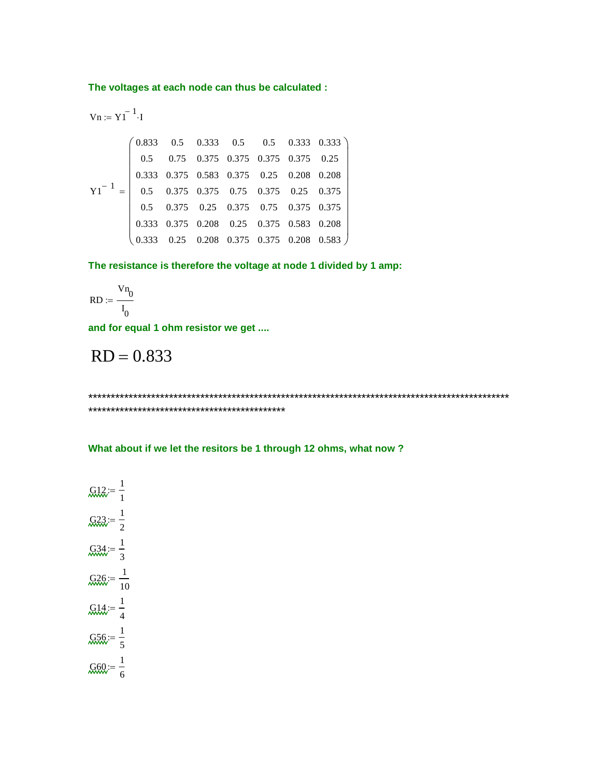**The voltages at each node can thus be calculated :**

$$
Vn := Y1^{-1} \cdot 1
$$
\n
$$
\begin{pmatrix}\n0.833 & 0.5 & 0.333 & 0.5 & 0.5 & 0.333 & 0.333 \\
0.5 & 0.75 & 0.375 & 0.375 & 0.375 & 0.375 & 0.25 \\
0.333 & 0.375 & 0.583 & 0.375 & 0.25 & 0.208 & 0.208 \\
0.5 & 0.375 & 0.375 & 0.75 & 0.375 & 0.25 & 0.375 \\
0.5 & 0.375 & 0.25 & 0.375 & 0.75 & 0.375 & 0.375 \\
0.333 & 0.375 & 0.208 & 0.25 & 0.375 & 0.583 & 0.208 \\
0.333 & 0.25 & 0.208 & 0.375 & 0.375 & 0.208 & 0.583\n\end{pmatrix}
$$

**The resistance is therefore the voltage at node 1 divided by 1 amp:**

$$
RD := \frac{Vn_0}{I_0}
$$

**and for equal 1 ohm resistor we get ....**

$$
RD = 0.833
$$

\*\*\*\*\*\*\*\*\*\*\*\*\*\*\*\*\*\*\*\*\*\*\*\*\*\*\*\*\*\*\*\*\*\*\*\*\*\*\*\*\*\*\*\*\*\*\*\*\*\*\*\*\*\*\*\*\*\*\*\*\*\*\*\*\*\*\*\*\*\*\*\*\*\*\*\*\*\*\*\*\*\*\*\*\*\*\*\*\*\*\*\*\*\* \*\*\*\*\*\*\*\*\*\*\*\*\*\*\*\*\*\*\*\*\*\*\*\*\*\*\*\*\*\*\*\*\*\*\*\*\*\*\*\*\*\*\*\*

**What about if we let the resitors be 1 through 12 ohms, what now ?**

$$
\mathcal{Q}12 := \frac{1}{1}
$$

$$
\mathcal{Q}23 := \frac{1}{2}
$$

$$
\mathcal{Q}34 := \frac{1}{3}
$$

$$
\mathcal{Q}26 := \frac{1}{10}
$$

$$
\mathcal{Q}14 := \frac{1}{4}
$$

$$
\mathcal{Q}56 := \frac{1}{5}
$$

$$
\mathcal{Q}60 := \frac{1}{6}
$$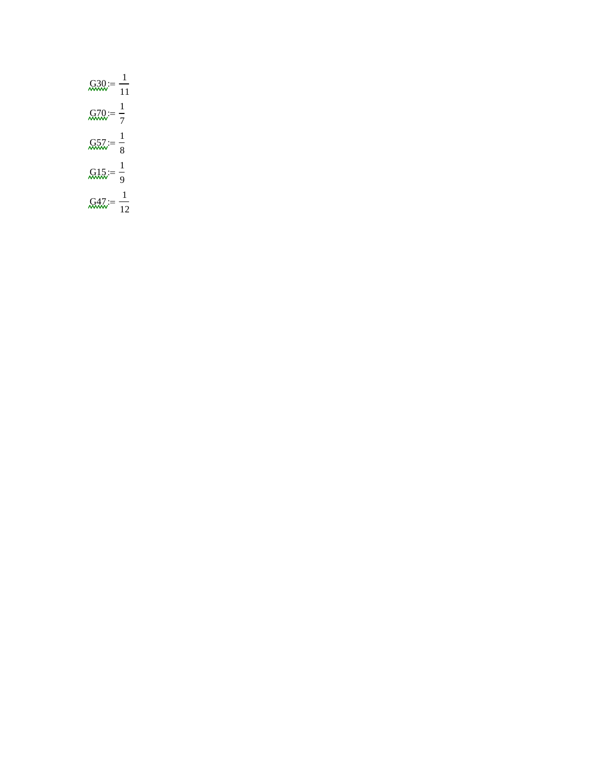| $\cancel{G30}_{\dots} = \frac{1}{11}$ |               |
|---------------------------------------|---------------|
| $\text{G70} = \frac{1}{7}$            |               |
| $\frac{1}{8}$                         |               |
| $\text{Q15} = \frac{1}{9}$            |               |
| $G47 = -$                             | $\frac{1}{2}$ |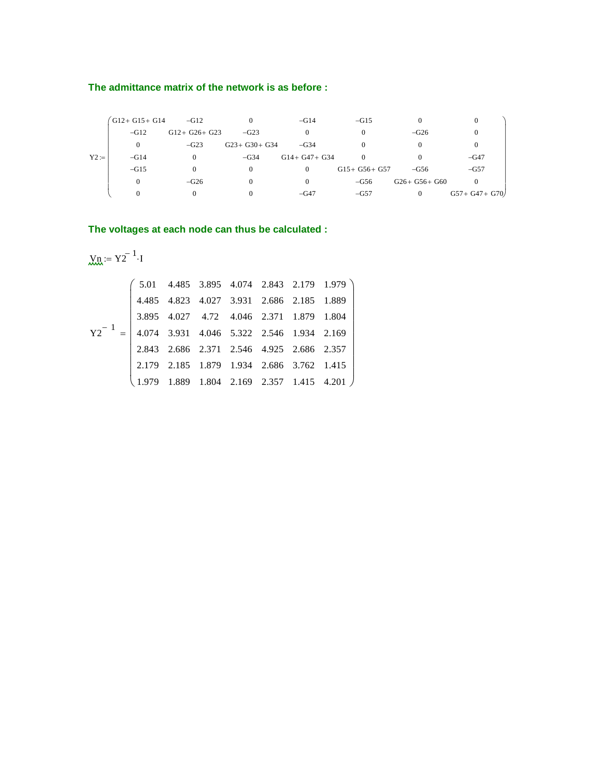#### **The admittance matrix of the network is as before :**

|        | $G12+G15+G14$ | $-G12$        |                 | $-G14$            | $-G15$          | $\Omega$        | $\theta$          |
|--------|---------------|---------------|-----------------|-------------------|-----------------|-----------------|-------------------|
|        | $-G12$        | $G12+G26+G23$ | $-G23$          | 0                 |                 | $-G26$          |                   |
| $Y2 =$ | $\Omega$      | $-G23$        | $G23+ G30+ G34$ | $-G34$            |                 |                 |                   |
|        | $-G14$        |               | $-G34$          | $G14 + G47 + G34$ | $\Omega$        |                 | $-G47$            |
|        | $-G15$        |               | $\Omega$        | $\Omega$          | $G15+ G56+ G57$ | $-G56$          | $-G57$            |
|        | $\Omega$      | $-G26$        |                 | 0                 | $-G56$          | $G26+ G56+ G60$ | $\Omega$          |
|        | $\Omega$      |               |                 | $-G47$            | $-G57$          | $\overline{0}$  | $G57 + G47 + G70$ |

## **The voltages at each node can thus be calculated :**

$$
y_n = Y2^{-1} \cdot I
$$

$$
Y2^{-1} = \begin{pmatrix} 5.01 & 4.485 & 3.895 & 4.074 & 2.843 & 2.179 & 1.979 \\ 4.485 & 4.823 & 4.027 & 3.931 & 2.686 & 2.185 & 1.889 \\ 3.895 & 4.027 & 4.72 & 4.046 & 2.371 & 1.879 & 1.804 \\ 4.074 & 3.931 & 4.046 & 5.322 & 2.546 & 1.934 & 2.169 \\ 2.843 & 2.686 & 2.371 & 2.546 & 4.925 & 2.686 & 2.357 \\ 2.179 & 2.185 & 1.879 & 1.934 & 2.686 & 3.762 & 1.415 \\ 1.979 & 1.889 & 1.804 & 2.169 & 2.357 & 1.415 & 4.201 \end{pmatrix}
$$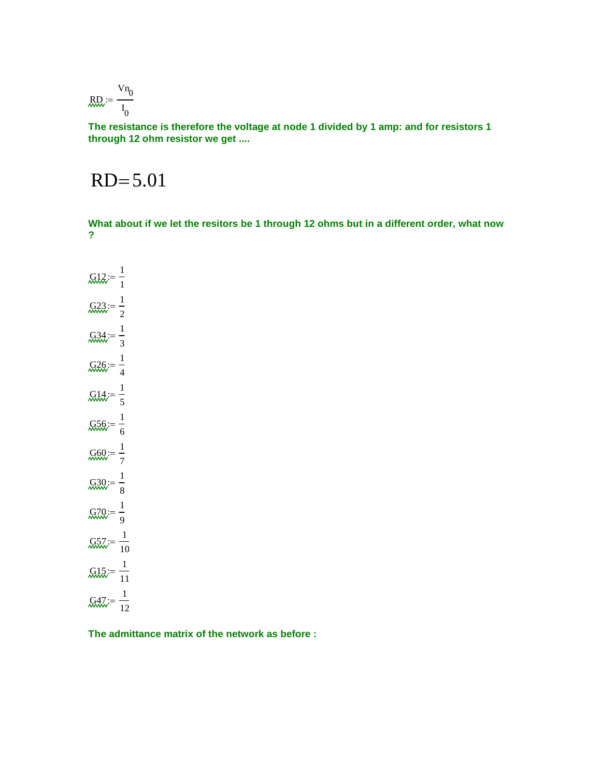$$
\text{RQ} := \frac{Vn_0}{I_0}
$$

**The resistance is therefore the voltage at node 1 divided by 1 amp: and for resistors 1 through 12 ohm resistor we get ....**

# $RD = 5.01$

**What about if we let the resitors be 1 through 12 ohms but in a different order, what now ?**

 $G12 = \frac{1}{2}$ 1 ;=  $G23 = \frac{1}{2}$ 2 ;=  $G34 = \frac{1}{2}$ 3 ;=  $G26 = \frac{1}{2}$ 4 ;=  $\text{G14} = \frac{1}{2}$ 5 ;=  $G56 = \frac{1}{2}$ 6 ;=  $G60 = \frac{1}{2}$ 7 ;=  $G30 = \frac{1}{2}$ 8 ;=  $G70 = \frac{1}{2}$ 9 ;=  $G57 := \frac{1}{10}$ 10 ;=  $G15 = \frac{1}{1}$ 11 ;=  $G47 := -1$ 12 ;=

**The admittance matrix of the network as before :**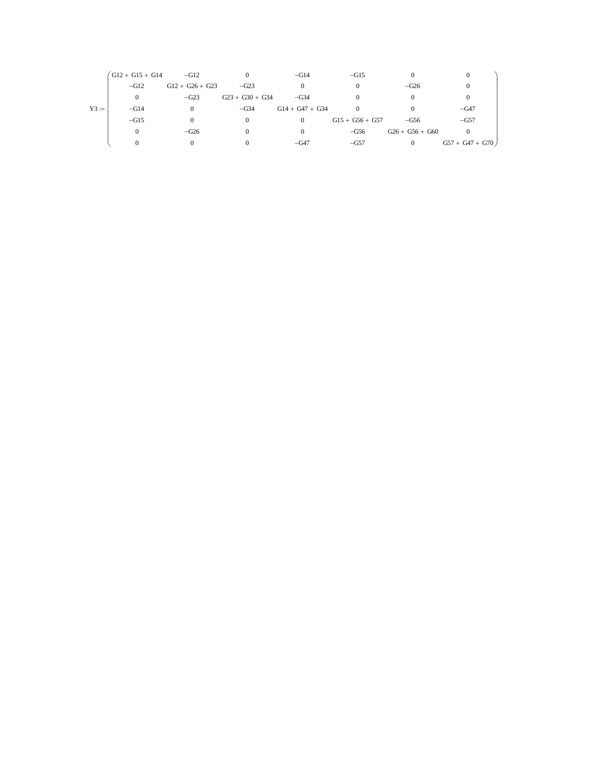|         | $\text{G12} + \text{G15} + \text{G14}$ | $-G12$            |                   | $-G14$            | $-G15$            |                   |                   |
|---------|----------------------------------------|-------------------|-------------------|-------------------|-------------------|-------------------|-------------------|
| $Y3 :=$ | $-G12$                                 | $G12 + G26 + G23$ | $-G23$            |                   |                   | $-G26$            |                   |
|         | $\Omega$                               | $-G23$            | $G23 + G30 + G34$ | $-G34$            |                   |                   |                   |
|         | $-G14$                                 |                   | $-G34$            | $G14 + G47 + G34$ |                   |                   | $-G47$            |
|         | $-G15$                                 |                   |                   | 0                 | $G15 + G56 + G57$ | $-G56$            | $-G57$            |
|         | $\Omega$                               | $-G26$            |                   |                   | $-G56$            | $G26 + G56 + G60$ |                   |
|         |                                        |                   |                   | $-G47$            | $-G57$            |                   | $G57 + G47 + G70$ |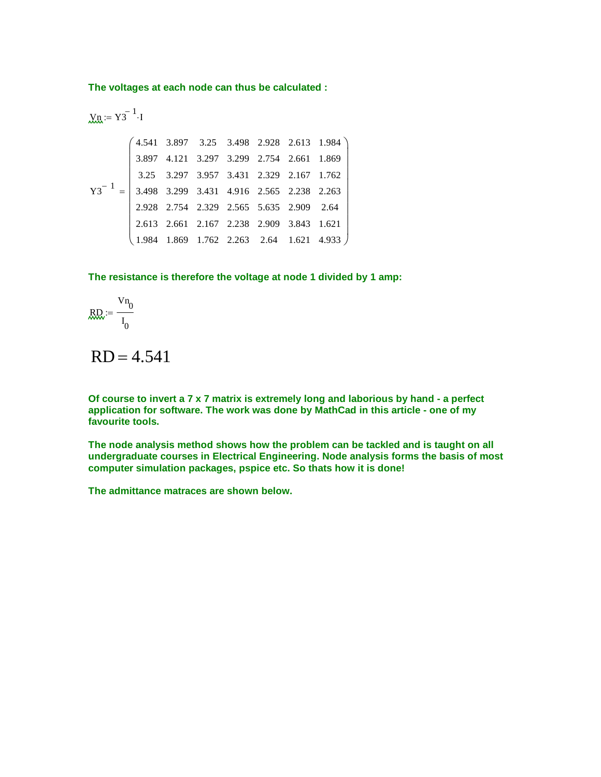**The voltages at each node can thus be calculated :**

| $X_{R} := Y3^{-1} \cdot 1$                                                                                                                                                                                                                                                                                                                                                                                                                        |
|---------------------------------------------------------------------------------------------------------------------------------------------------------------------------------------------------------------------------------------------------------------------------------------------------------------------------------------------------------------------------------------------------------------------------------------------------|
| $\begin{pmatrix}\n 4.541 & 3.897 & 3.25 & 3.498 & 2.928 & 2.613 & 1.984 \\  3.897 & 4.121 & 3.297 & 3.299 & 2.754 & 2.661 & 1.869 \\  3.25 & 3.297 & 3.957 & 3.431 & 2.329 & 2.167 & 1.762 \\  3.498 & 3.299 & 3.431 & 4.916 & 2.565 & 2.238 & 2.263 \\  2.928 & 2.754 & 2.329 & 2.565 & 5.635 & 2.909 & 2.64 \\  2.613 & 2.661 & 2.167 & 2.238 & 2.909 & 3.843 & 1.621 \\  1.984 & 1.869 & 1.762 & 2.263 & 2.64 & 1.621 & 4.933\n \end{pmatrix}$ |

**The resistance is therefore the voltage at node 1 divided by 1 amp:**

$$
\text{RQ} := \frac{Vn_0}{I_0}
$$

 $RD = 4.541$ 

**Of course to invert a 7 x 7 matrix is extremely long and laborious by hand - a perfect application for software. The work was done by MathCad in this article - one of my favourite tools.**

**The node analysis method shows how the problem can be tackled and is taught on all undergraduate courses in Electrical Engineering. Node analysis forms the basis of most computer simulation packages, pspice etc. So thats how it is done!**

**The admittance matraces are shown below.**